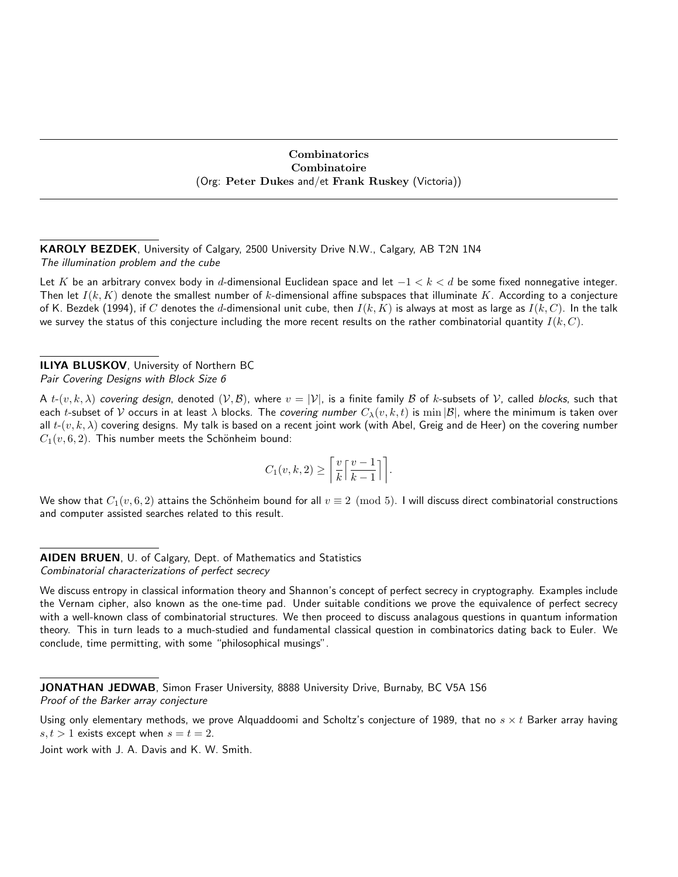# Combinatorics Combinatoire (Org: Peter Dukes and/et Frank Ruskey (Victoria))

KAROLY BEZDEK, University of Calgary, 2500 University Drive N.W., Calgary, AB T2N 1N4 The illumination problem and the cube

Let K be an arbitrary convex body in d-dimensional Euclidean space and let  $-1 < k < d$  be some fixed nonnegative integer. Then let  $I(k, K)$  denote the smallest number of k-dimensional affine subspaces that illuminate K. According to a conjecture of K. Bezdek (1994), if C denotes the d-dimensional unit cube, then  $I(k, K)$  is always at most as large as  $I(k, C)$ . In the talk we survey the status of this conjecture including the more recent results on the rather combinatorial quantity  $I(k, C)$ .

ILIYA BLUSKOV, University of Northern BC Pair Covering Designs with Block Size 6

A  $t$ - $(v, k, \lambda)$  covering design, denoted  $(\mathcal{V}, \mathcal{B})$ , where  $v = |\mathcal{V}|$ , is a finite family  $\mathcal B$  of k-subsets of  $\mathcal V$ , called blocks, such that each t-subset of V occurs in at least  $\lambda$  blocks. The covering number  $C_\lambda(v, k, t)$  is  $\min|\mathcal{B}|$ , where the minimum is taken over all  $t$ - $(v, k, \lambda)$  covering designs. My talk is based on a recent joint work (with Abel, Greig and de Heer) on the covering number  $C_1(v, 6, 2)$ . This number meets the Schönheim bound:

$$
C_1(v,k,2) \ge \left\lceil \frac{v}{k} \left\lceil \frac{v-1}{k-1} \right\rceil \right\rceil.
$$

We show that  $C_1(v, 6, 2)$  attains the Schönheim bound for all  $v \equiv 2 \pmod{5}$ . I will discuss direct combinatorial constructions and computer assisted searches related to this result.

AIDEN BRUEN, U. of Calgary, Dept. of Mathematics and Statistics Combinatorial characterizations of perfect secrecy

We discuss entropy in classical information theory and Shannon's concept of perfect secrecy in cryptography. Examples include the Vernam cipher, also known as the one-time pad. Under suitable conditions we prove the equivalence of perfect secrecy with a well-known class of combinatorial structures. We then proceed to discuss analagous questions in quantum information theory. This in turn leads to a much-studied and fundamental classical question in combinatorics dating back to Euler. We conclude, time permitting, with some "philosophical musings".

JONATHAN JEDWAB, Simon Fraser University, 8888 University Drive, Burnaby, BC V5A 1S6 Proof of the Barker array conjecture

Using only elementary methods, we prove Alquaddoomi and Scholtz's conjecture of 1989, that no  $s \times t$  Barker array having  $s, t > 1$  exists except when  $s = t = 2$ .

Joint work with J. A. Davis and K. W. Smith.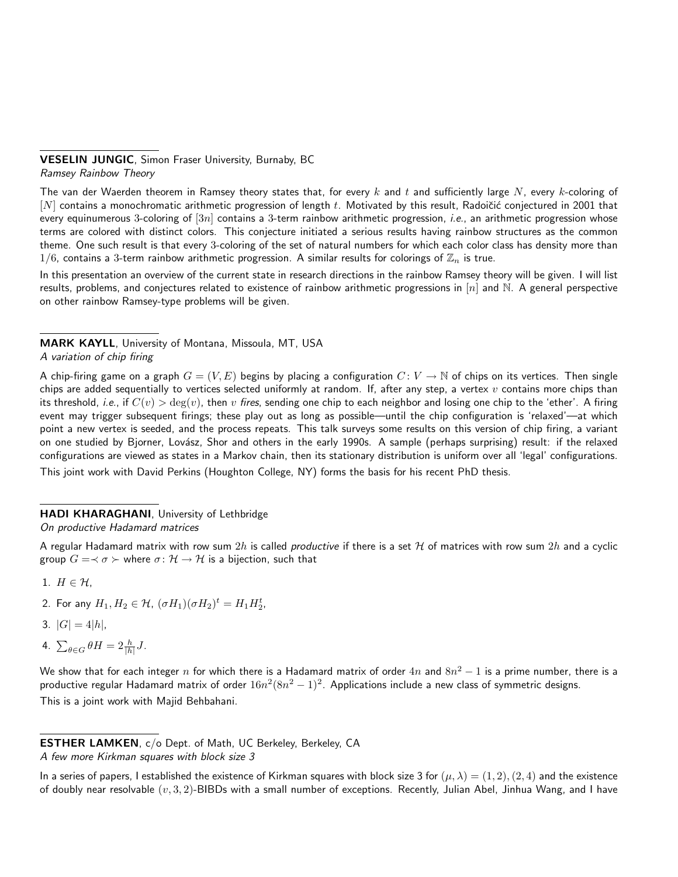# VESELIN JUNGIC, Simon Fraser University, Burnaby, BC

Ramsey Rainbow Theory

The van der Waerden theorem in Ramsey theory states that, for every k and t and sufficiently large N, every k-coloring of  $[N]$  contains a monochromatic arithmetic progression of length t. Motivated by this result, Radoičić conjectured in 2001 that every equinumerous 3-coloring of  $[3n]$  contains a 3-term rainbow arithmetic progression, *i.e.*, an arithmetic progression whose terms are colored with distinct colors. This conjecture initiated a serious results having rainbow structures as the common theme. One such result is that every 3-coloring of the set of natural numbers for which each color class has density more than  $1/6$ , contains a 3-term rainbow arithmetic progression. A similar results for colorings of  $\mathbb{Z}_n$  is true.

In this presentation an overview of the current state in research directions in the rainbow Ramsey theory will be given. I will list results, problems, and conjectures related to existence of rainbow arithmetic progressions in  $[n]$  and  $\mathbb N$ . A general perspective on other rainbow Ramsey-type problems will be given.

MARK KAYLL, University of Montana, Missoula, MT, USA A variation of chip firing

A chip-firing game on a graph  $G = (V, E)$  begins by placing a configuration  $C: V \to \mathbb{N}$  of chips on its vertices. Then single chips are added sequentially to vertices selected uniformly at random. If, after any step, a vertex  $v$  contains more chips than its threshold, i.e., if  $C(v) > \deg(v)$ , then v fires, sending one chip to each neighbor and losing one chip to the 'ether'. A firing event may trigger subsequent firings; these play out as long as possible—until the chip configuration is 'relaxed'—at which point a new vertex is seeded, and the process repeats. This talk surveys some results on this version of chip firing, a variant on one studied by Bjorner, Lovász, Shor and others in the early 1990s. A sample (perhaps surprising) result: if the relaxed configurations are viewed as states in a Markov chain, then its stationary distribution is uniform over all 'legal' configurations. This joint work with David Perkins (Houghton College, NY) forms the basis for his recent PhD thesis.

HADI KHARAGHANI, University of Lethbridge

On productive Hadamard matrices

A regular Hadamard matrix with row sum  $2h$  is called *productive* if there is a set H of matrices with row sum  $2h$  and a cyclic group  $G = \prec \sigma \succ$  where  $\sigma \colon \mathcal{H} \to \mathcal{H}$  is a bijection, such that

- 1.  $H \in \mathcal{H}$ .
- 2. For any  $H_1, H_2 \in \mathcal{H}$ ,  $(\sigma H_1)(\sigma H_2)^t = H_1 H_2^t$ ,
- 3.  $|G| = 4|h|$ ,
- 4.  $\sum_{\theta \in G} \theta H = 2 \frac{h}{|h|} J$ .

We show that for each integer  $n$  for which there is a Hadamard matrix of order  $4n$  and  $8n^2-1$  is a prime number, there is a productive regular Hadamard matrix of order  $16n^2(8n^2-1)^2$ . Applications include a new class of symmetric designs. This is a joint work with Majid Behbahani.

ESTHER LAMKEN, c/o Dept. of Math, UC Berkeley, Berkeley, CA A few more Kirkman squares with block size 3

In a series of papers, I established the existence of Kirkman squares with block size 3 for  $(\mu, \lambda) = (1, 2), (2, 4)$  and the existence of doubly near resolvable  $(v, 3, 2)$ -BIBDs with a small number of exceptions. Recently, Julian Abel, Jinhua Wang, and I have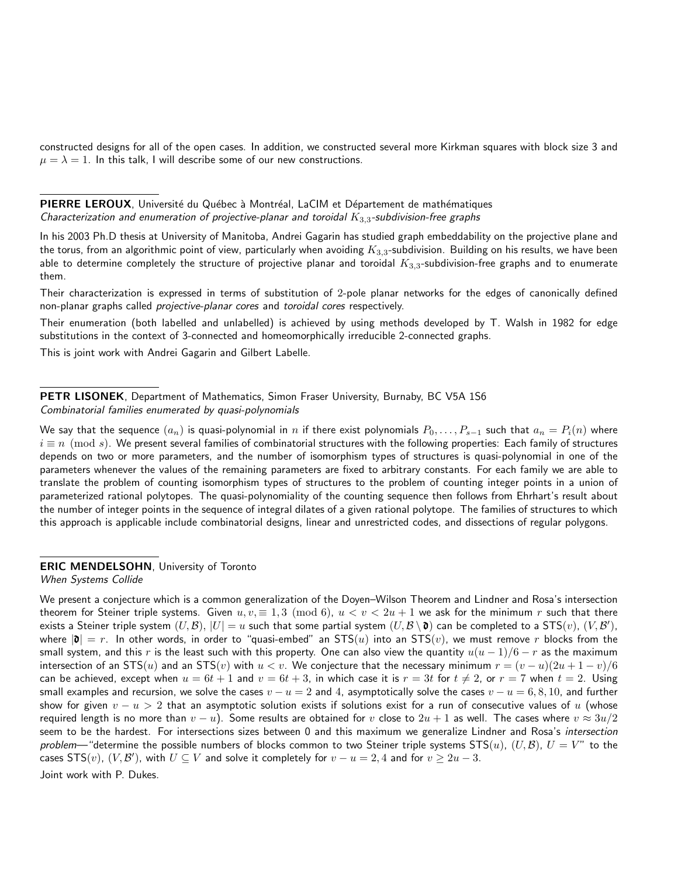constructed designs for all of the open cases. In addition, we constructed several more Kirkman squares with block size 3 and  $\mu = \lambda = 1$ . In this talk, I will describe some of our new constructions.

PIERRE LEROUX, Université du Québec à Montréal, LaCIM et Département de mathématiques Characterization and enumeration of projective-planar and toroidal  $K_{3,3}$ -subdivision-free graphs

In his 2003 Ph.D thesis at University of Manitoba, Andrei Gagarin has studied graph embeddability on the projective plane and the torus, from an algorithmic point of view, particularly when avoiding  $K_{3,3}$ -subdivision. Building on his results, we have been able to determine completely the structure of projective planar and toroidal  $K_{3,3}$ -subdivision-free graphs and to enumerate them.

Their characterization is expressed in terms of substitution of 2-pole planar networks for the edges of canonically defined non-planar graphs called projective-planar cores and toroidal cores respectively.

Their enumeration (both labelled and unlabelled) is achieved by using methods developed by T. Walsh in 1982 for edge substitutions in the context of 3-connected and homeomorphically irreducible 2-connected graphs.

This is joint work with Andrei Gagarin and Gilbert Labelle.

PETR LISONEK, Department of Mathematics, Simon Fraser University, Burnaby, BC V5A 1S6 Combinatorial families enumerated by quasi-polynomials

We say that the sequence  $(a_n)$  is quasi-polynomial in n if there exist polynomials  $P_0, \ldots, P_{s-1}$  such that  $a_n = P_i(n)$  where  $i \equiv n \pmod{s}$ . We present several families of combinatorial structures with the following properties: Each family of structures depends on two or more parameters, and the number of isomorphism types of structures is quasi-polynomial in one of the parameters whenever the values of the remaining parameters are fixed to arbitrary constants. For each family we are able to translate the problem of counting isomorphism types of structures to the problem of counting integer points in a union of parameterized rational polytopes. The quasi-polynomiality of the counting sequence then follows from Ehrhart's result about the number of integer points in the sequence of integral dilates of a given rational polytope. The families of structures to which this approach is applicable include combinatorial designs, linear and unrestricted codes, and dissections of regular polygons.

## **ERIC MENDELSOHN, University of Toronto**

When Systems Collide

We present a conjecture which is a common generalization of the Doyen–Wilson Theorem and Lindner and Rosa's intersection theorem for Steiner triple systems. Given  $u, v \equiv 1, 3 \pmod{6}$ ,  $u < v < 2u + 1$  we ask for the minimum r such that there exists a Steiner triple system  $(U,\mathcal{B}),~|U|=u$  such that some partial system  $(U,\mathcal{B}\setminus\mathbf{0})$  can be completed to a STS $(v),~(V,\mathcal{B}'),$ where  $|\mathbf{d}| = r$ . In other words, in order to "quasi-embed" an STS(u) into an STS(v), we must remove r blocks from the small system, and this r is the least such with this property. One can also view the quantity  $u(u-1)/6-r$  as the maximum intersection of an STS(u) and an STS(v) with  $u < v$ . We conjecture that the necessary minimum  $r = (v - u)(2u + 1 - v)/6$ can be achieved, except when  $u = 6t + 1$  and  $v = 6t + 3$ , in which case it is  $r = 3t$  for  $t \neq 2$ , or  $r = 7$  when  $t = 2$ . Using small examples and recursion, we solve the cases  $v - u = 2$  and 4, asymptotically solve the cases  $v - u = 6, 8, 10$ , and further show for given  $v - u > 2$  that an asymptotic solution exists if solutions exist for a run of consecutive values of u (whose required length is no more than  $v-u$ ). Some results are obtained for  $v$  close to  $2u+1$  as well. The cases where  $v\approx 3u/2$ seem to be the hardest. For intersections sizes between 0 and this maximum we generalize Lindner and Rosa's intersection problem—"determine the possible numbers of blocks common to two Steiner triple systems  $STS(u)$ ,  $(U,\mathcal{B})$ ,  $U = V''$  to the cases  $\mathsf{STS}(v)$ ,  $(V,\mathcal{B}')$ , with  $U\subseteq V$  and solve it completely for  $v-u=2,4$  and for  $v\geq 2u-3.$ 

Joint work with P. Dukes.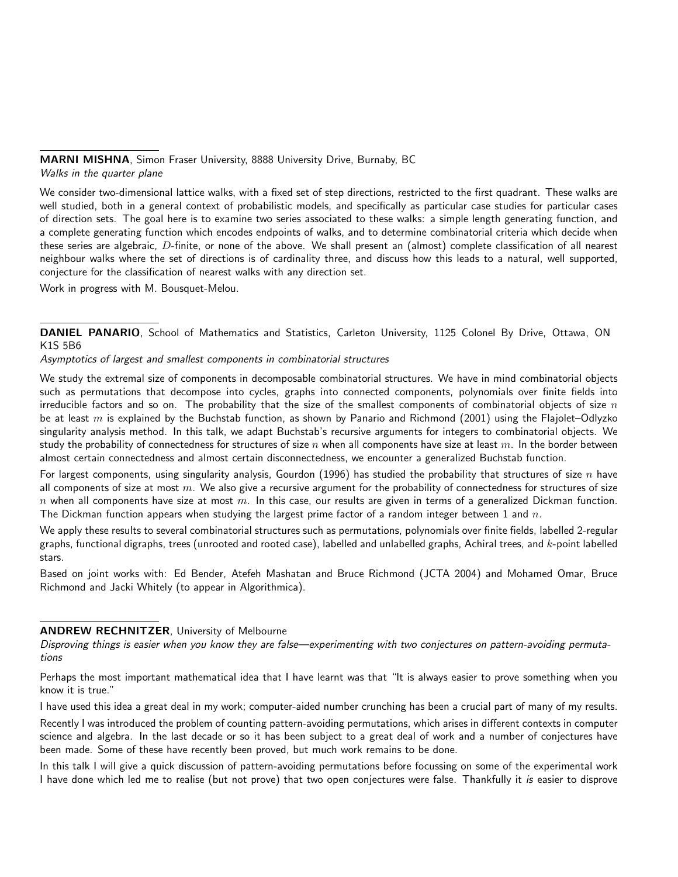## MARNI MISHNA, Simon Fraser University, 8888 University Drive, Burnaby, BC Walks in the quarter plane

We consider two-dimensional lattice walks, with a fixed set of step directions, restricted to the first quadrant. These walks are well studied, both in a general context of probabilistic models, and specifically as particular case studies for particular cases of direction sets. The goal here is to examine two series associated to these walks: a simple length generating function, and a complete generating function which encodes endpoints of walks, and to determine combinatorial criteria which decide when these series are algebraic, D-finite, or none of the above. We shall present an (almost) complete classification of all nearest neighbour walks where the set of directions is of cardinality three, and discuss how this leads to a natural, well supported, conjecture for the classification of nearest walks with any direction set.

Work in progress with M. Bousquet-Melou.

DANIEL PANARIO, School of Mathematics and Statistics, Carleton University, 1125 Colonel By Drive, Ottawa, ON K1S 5B6

Asymptotics of largest and smallest components in combinatorial structures

We study the extremal size of components in decomposable combinatorial structures. We have in mind combinatorial objects such as permutations that decompose into cycles, graphs into connected components, polynomials over finite fields into irreducible factors and so on. The probability that the size of the smallest components of combinatorial objects of size  $n$ be at least m is explained by the Buchstab function, as shown by Panario and Richmond (2001) using the Flajolet–Odlyzko singularity analysis method. In this talk, we adapt Buchstab's recursive arguments for integers to combinatorial objects. We study the probability of connectedness for structures of size  $n$  when all components have size at least  $m$ . In the border between almost certain connectedness and almost certain disconnectedness, we encounter a generalized Buchstab function.

For largest components, using singularity analysis, Gourdon (1996) has studied the probability that structures of size  $n$  have all components of size at most  $m$ . We also give a recursive argument for the probability of connectedness for structures of size  $n$  when all components have size at most  $m$ . In this case, our results are given in terms of a generalized Dickman function. The Dickman function appears when studying the largest prime factor of a random integer between 1 and  $n$ .

We apply these results to several combinatorial structures such as permutations, polynomials over finite fields, labelled 2-regular graphs, functional digraphs, trees (unrooted and rooted case), labelled and unlabelled graphs, Achiral trees, and k-point labelled stars.

Based on joint works with: Ed Bender, Atefeh Mashatan and Bruce Richmond (JCTA 2004) and Mohamed Omar, Bruce Richmond and Jacki Whitely (to appear in Algorithmica).

## ANDREW RECHNITZER, University of Melbourne

Disproving things is easier when you know they are false—experimenting with two conjectures on pattern-avoiding permutations

Perhaps the most important mathematical idea that I have learnt was that "It is always easier to prove something when you know it is true."

I have used this idea a great deal in my work; computer-aided number crunching has been a crucial part of many of my results.

Recently I was introduced the problem of counting pattern-avoiding permutations, which arises in different contexts in computer science and algebra. In the last decade or so it has been subject to a great deal of work and a number of conjectures have been made. Some of these have recently been proved, but much work remains to be done.

In this talk I will give a quick discussion of pattern-avoiding permutations before focussing on some of the experimental work I have done which led me to realise (but not prove) that two open conjectures were false. Thankfully it is easier to disprove